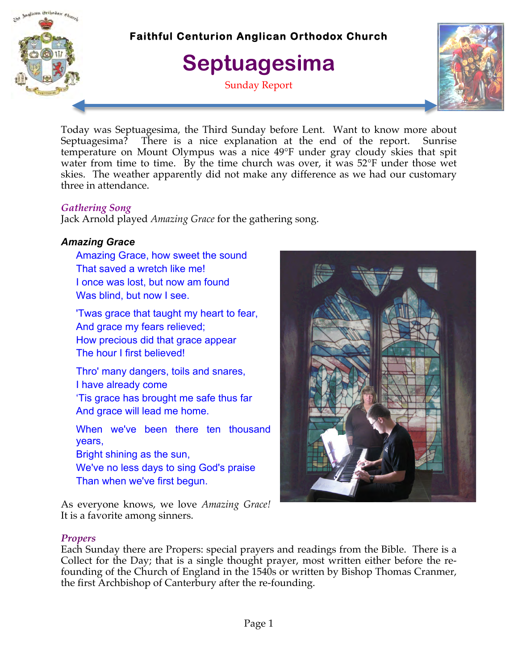

### **Faithful Centurion Anglican Orthodox Church**

## **Septuagesima**

Sunday Report



Today was Septuagesima, the Third Sunday before Lent. Want to know more about Septuagesima? There is a nice explanation at the end of the report. Sunrise temperature on Mount Olympus was a nice 49°F under gray cloudy skies that spit water from time to time. By the time church was over, it was 52°F under those wet skies. The weather apparently did not make any difference as we had our customary three in attendance.

#### *Gathering Song*

Jack Arnold played *Amazing Grace* for the gathering song.

#### *Amazing Grace*

Amazing Grace, how sweet the sound That saved a wretch like me! I once was lost, but now am found Was blind, but now I see.

'Twas grace that taught my heart to fear, And grace my fears relieved; How precious did that grace appear The hour I first believed!

Thro' many dangers, toils and snares, I have already come 'Tis grace has brought me safe thus far

And grace will lead me home.

When we've been there ten thousand years,

Bright shining as the sun,

We've no less days to sing God's praise Than when we've first begun.

As everyone knows, we love *Amazing Grace!* It is a favorite among sinners.



#### *Propers*

Each Sunday there are Propers: special prayers and readings from the Bible. There is a Collect for the Day; that is a single thought prayer, most written either before the refounding of the Church of England in the 1540s or written by Bishop Thomas Cranmer, the first Archbishop of Canterbury after the re-founding.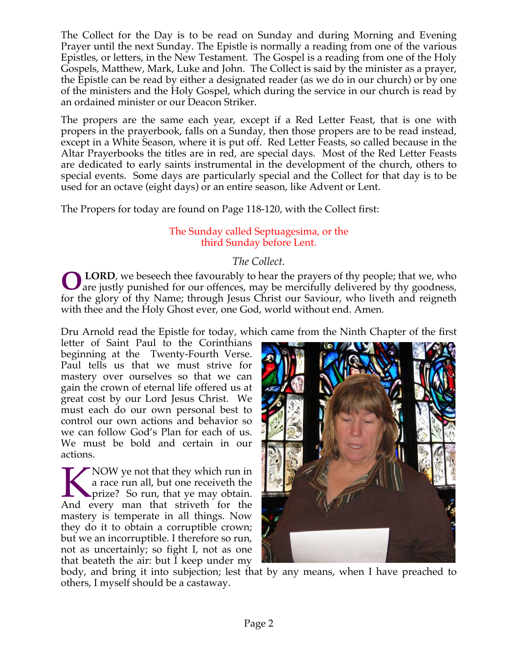The Collect for the Day is to be read on Sunday and during Morning and Evening Prayer until the next Sunday. The Epistle is normally a reading from one of the various Epistles, or letters, in the New Testament. The Gospel is a reading from one of the Holy Gospels, Matthew, Mark, Luke and John. The Collect is said by the minister as a prayer, the Epistle can be read by either a designated reader (as we do in our church) or by one of the ministers and the Holy Gospel, which during the service in our church is read by an ordained minister or our Deacon Striker.

The propers are the same each year, except if a Red Letter Feast, that is one with propers in the prayerbook, falls on a Sunday, then those propers are to be read instead, except in a White Season, where it is put off. Red Letter Feasts, so called because in the Altar Prayerbooks the titles are in red, are special days. Most of the Red Letter Feasts are dedicated to early saints instrumental in the development of the church, others to special events. Some days are particularly special and the Collect for that day is to be used for an octave (eight days) or an entire season, like Advent or Lent.

The Propers for today are found on Page 118-120, with the Collect first:

#### The Sunday called Septuagesima, or the third Sunday before Lent.

#### *The Collect.*

 **LORD**, we beseech thee favourably to hear the prayers of thy people; that we, who **OLORD**, we beseech thee favourably to hear the prayers of thy people; that we, who are justly punished for our offences, may be mercifully delivered by thy goodness, for the glory of thy Name; through Jesus Christ our Saviour, who liveth and reigneth with thee and the Holy Ghost ever, one God, world without end. Amen*.*

Dru Arnold read the Epistle for today, which came from the Ninth Chapter of the first

letter of Saint Paul to the Corinthians beginning at the Twenty-Fourth Verse. Paul tells us that we must strive for mastery over ourselves so that we can gain the crown of eternal life offered us at great cost by our Lord Jesus Christ. We must each do our own personal best to control our own actions and behavior so we can follow God's Plan for each of us. We must be bold and certain in our actions.

 $\blacktriangleright$  NOW ye not that they which run in a race run all, but one receiveth the **So run, that ye may obtain.** NOW ye not that they which run in<br>
a race run all, but one receiveth the<br>
prize? So run, that ye may obtain.<br>
And every man that striveth for the mastery is temperate in all things. Now they do it to obtain a corruptible crown; but we an incorruptible. I therefore so run, not as uncertainly; so fight I, not as one that beateth the air: but I keep under my



body, and bring it into subjection; lest that by any means, when I have preached to others, I myself should be a castaway.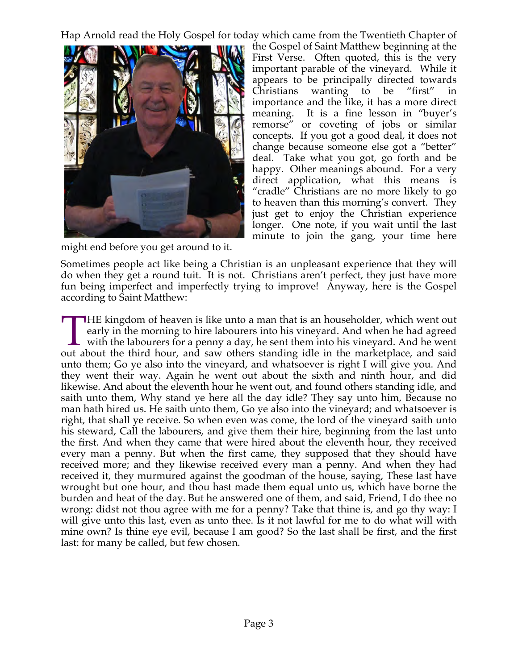Hap Arnold read the Holy Gospel for today which came from the Twentieth Chapter of



might end before you get around to it.

the Gospel of Saint Matthew beginning at the First Verse. Often quoted, this is the very important parable of the vineyard. While it appears to be principally directed towards Christians wanting to be "first" importance and the like, it has a more direct meaning. It is a fine lesson in "buyer's remorse" or coveting of jobs or similar concepts. If you got a good deal, it does not change because someone else got a "better" deal. Take what you got, go forth and be happy. Other meanings abound. For a very direct application, what this means is "cradle" Christians are no more likely to go to heaven than this morning's convert. They just get to enjoy the Christian experience longer. One note, if you wait until the last minute to join the gang, your time here

Sometimes people act like being a Christian is an unpleasant experience that they will do when they get a round tuit. It is not. Christians aren't perfect, they just have more fun being imperfect and imperfectly trying to improve! Anyway, here is the Gospel according to Saint Matthew:

**HE kingdom of heaven is like unto a man that is an householder, which went out** early in the morning to hire labourers into his vineyard. And when he had agreed with the labourers for a penny a day, he sent them into his vineyard. And he went THE kingdom of heaven is like unto a man that is an householder, which went out early in the morning to hire labourers into his vineyard. And when he had agreed with the labourers for a penny a day, he sent them into his v unto them; Go ye also into the vineyard, and whatsoever is right I will give you. And they went their way. Again he went out about the sixth and ninth hour, and did likewise. And about the eleventh hour he went out, and found others standing idle, and saith unto them, Why stand ye here all the day idle? They say unto him, Because no man hath hired us. He saith unto them, Go ye also into the vineyard; and whatsoever is right, that shall ye receive. So when even was come, the lord of the vineyard saith unto his steward, Call the labourers, and give them their hire, beginning from the last unto the first. And when they came that were hired about the eleventh hour, they received every man a penny. But when the first came, they supposed that they should have received more; and they likewise received every man a penny. And when they had received it, they murmured against the goodman of the house, saying, These last have wrought but one hour, and thou hast made them equal unto us, which have borne the burden and heat of the day. But he answered one of them, and said, Friend, I do thee no wrong: didst not thou agree with me for a penny? Take that thine is, and go thy way: I will give unto this last, even as unto thee. Is it not lawful for me to do what will with mine own? Is thine eye evil, because I am good? So the last shall be first, and the first last: for many be called, but few chosen.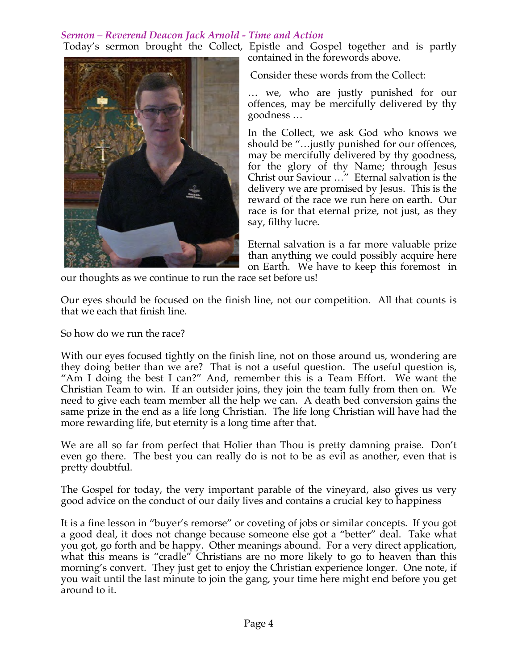#### *Sermon – Reverend Deacon Jack Arnold - Time and Action*

Today's sermon brought the Collect, Epistle and Gospel together and is partly contained in the forewords above.



Consider these words from the Collect:

… we, who are justly punished for our offences, may be mercifully delivered by thy goodness …

In the Collect, we ask God who knows we should be "…justly punished for our offences, may be mercifully delivered by thy goodness, for the glory of thy Name; through Jesus Christ our Saviour …" Eternal salvation is the delivery we are promised by Jesus. This is the reward of the race we run here on earth. Our race is for that eternal prize, not just, as they say, filthy lucre.

Eternal salvation is a far more valuable prize than anything we could possibly acquire here on Earth. We have to keep this foremost in

our thoughts as we continue to run the race set before us!

Our eyes should be focused on the finish line, not our competition. All that counts is that we each that finish line.

So how do we run the race?

With our eyes focused tightly on the finish line, not on those around us, wondering are they doing better than we are? That is not a useful question. The useful question is, "Am I doing the best I can?" And, remember this is a Team Effort. We want the Christian Team to win. If an outsider joins, they join the team fully from then on. We need to give each team member all the help we can. A death bed conversion gains the same prize in the end as a life long Christian. The life long Christian will have had the more rewarding life, but eternity is a long time after that.

We are all so far from perfect that Holier than Thou is pretty damning praise. Don't even go there. The best you can really do is not to be as evil as another, even that is pretty doubtful.

The Gospel for today, the very important parable of the vineyard, also gives us very good advice on the conduct of our daily lives and contains a crucial key to happiness

It is a fine lesson in "buyer's remorse" or coveting of jobs or similar concepts. If you got a good deal, it does not change because someone else got a "better" deal. Take what you got, go forth and be happy. Other meanings abound. For a very direct application, what this means is "cradle" Christians are no more likely to go to heaven than this morning's convert. They just get to enjoy the Christian experience longer. One note, if you wait until the last minute to join the gang, your time here might end before you get around to it.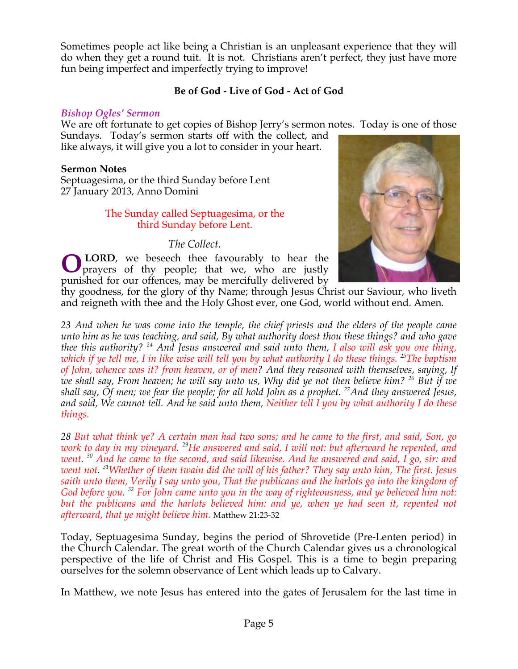Sometimes people act like being a Christian is an unpleasant experience that they will do when they get a round tuit. It is not. Christians aren't perfect, they just have more fun being imperfect and imperfectly trying to improve!

#### **Be of God - Live of God - Act of God**

#### *Bishop Ogles' Sermon*

We are oft fortunate to get copies of Bishop Jerry's sermon notes. Today is one of those Sundays. Today's sermon starts off with the collect, and

like always, it will give you a lot to consider in your heart.

#### **Sermon Notes**

Septuagesima, or the third Sunday before Lent 27 January 2013, Anno Domini

#### The Sunday called Septuagesima, or the third Sunday before Lent.

#### *The Collect.*

 **LORD**, we beseech thee favourably to hear the prayers of thy people; that we, who are justly punished for our offences, may be mercifully delivered by **O**



thy goodness, for the glory of thy Name; through Jesus Christ our Saviour, who liveth and reigneth with thee and the Holy Ghost ever, one God, world without end. Amen*.*

*23 And when he was come into the temple, the chief priests and the elders of the people came unto him as he was teaching, and said, By what authority doest thou these things? and who gave thee this authority? 24 And Jesus answered and said unto them, I also will ask you one thing, which if ye tell me, I in like wise will tell you by what authority I do these things. 25The baptism of John, whence was it? from heaven, or of men? And they reasoned with themselves, saying, If we shall say, From heaven; he will say unto us, Why did ye not then believe him? 26 But if we shall say, Of men; we fear the people; for all hold John as a prophet. 27And they answered Jesus, and said, We cannot tell. And he said unto them, Neither tell I you by what authority I do these things.*

*28 But what think ye? A certain man had two sons; and he came to the first, and said, Son, go work to day in my vineyard. 29He answered and said, I will not: but afterward he repented, and went. <sup>30</sup> And he came to the second, and said likewise. And he answered and said, I go, sir: and went not. 31Whether of them twain did the will of his father? They say unto him, The first. Jesus saith unto them, Verily I say unto you, That the publicans and the harlots go into the kingdom of God before you. <sup>32</sup> For John came unto you in the way of righteousness, and ye believed him not:*  but the publicans and the harlots believed him: and ye, when ye had seen it, repented not *afterward, that ye might believe him.* Matthew 21:23-32

Today, Septuagesima Sunday, begins the period of Shrovetide (Pre-Lenten period) in the Church Calendar. The great worth of the Church Calendar gives us a chronological perspective of the life of Christ and His Gospel. This is a time to begin preparing ourselves for the solemn observance of Lent which leads up to Calvary.

In Matthew, we note Jesus has entered into the gates of Jerusalem for the last time in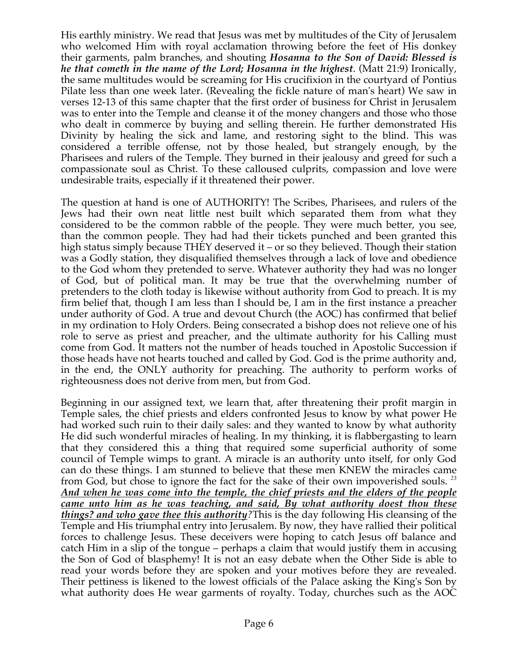His earthly ministry. We read that Jesus was met by multitudes of the City of Jerusalem who welcomed Him with royal acclamation throwing before the feet of His donkey their garments, palm branches, and shouting *Hosanna to the Son of David: Blessed is he that cometh in the name of the Lord; Hosanna in the highest*. (Matt 21:9) Ironically, the same multitudes would be screaming for His crucifixion in the courtyard of Pontius Pilate less than one week later. (Revealing the fickle nature of man's heart) We saw in verses 12-13 of this same chapter that the first order of business for Christ in Jerusalem was to enter into the Temple and cleanse it of the money changers and those who those who dealt in commerce by buying and selling therein. He further demonstrated His Divinity by healing the sick and lame, and restoring sight to the blind. This was considered a terrible offense, not by those healed, but strangely enough, by the Pharisees and rulers of the Temple. They burned in their jealousy and greed for such a compassionate soul as Christ. To these calloused culprits, compassion and love were undesirable traits, especially if it threatened their power.

The question at hand is one of AUTHORITY! The Scribes, Pharisees, and rulers of the Jews had their own neat little nest built which separated them from what they considered to be the common rabble of the people. They were much better, you see, than the common people. They had had their tickets punched and been granted this high status simply because THEY deserved it – or so they believed. Though their station was a Godly station, they disqualified themselves through a lack of love and obedience to the God whom they pretended to serve. Whatever authority they had was no longer of God, but of political man. It may be true that the overwhelming number of pretenders to the cloth today is likewise without authority from God to preach. It is my firm belief that, though I am less than I should be, I am in the first instance a preacher under authority of God. A true and devout Church (the AOC) has confirmed that belief in my ordination to Holy Orders. Being consecrated a bishop does not relieve one of his role to serve as priest and preacher, and the ultimate authority for his Calling must come from God. It matters not the number of heads touched in Apostolic Succession if those heads have not hearts touched and called by God. God is the prime authority and, in the end, the ONLY authority for preaching. The authority to perform works of righteousness does not derive from men, but from God.

Beginning in our assigned text, we learn that, after threatening their profit margin in Temple sales, the chief priests and elders confronted Jesus to know by what power He had worked such ruin to their daily sales: and they wanted to know by what authority He did such wonderful miracles of healing. In my thinking, it is flabbergasting to learn that they considered this a thing that required some superficial authority of some council of Temple wimps to grant. A miracle is an authority unto itself, for only God can do these things. I am stunned to believe that these men KNEW the miracles came from God, but chose to ignore the fact for the sake of their own impoverished souls. *<sup>23</sup> And when he was come into the temple, the chief priests and the elders of the people came unto him as he was teaching, and said, By what authority doest thou these things? and who gave thee this authority?*This is the day following His cleansing of the Temple and His triumphal entry into Jerusalem. By now, they have rallied their political forces to challenge Jesus. These deceivers were hoping to catch Jesus off balance and catch Him in a slip of the tongue – perhaps a claim that would justify them in accusing the Son of God of blasphemy! It is not an easy debate when the Other Side is able to read your words before they are spoken and your motives before they are revealed. Their pettiness is likened to the lowest officials of the Palace asking the King's Son by what authority does He wear garments of royalty. Today, churches such as the AOC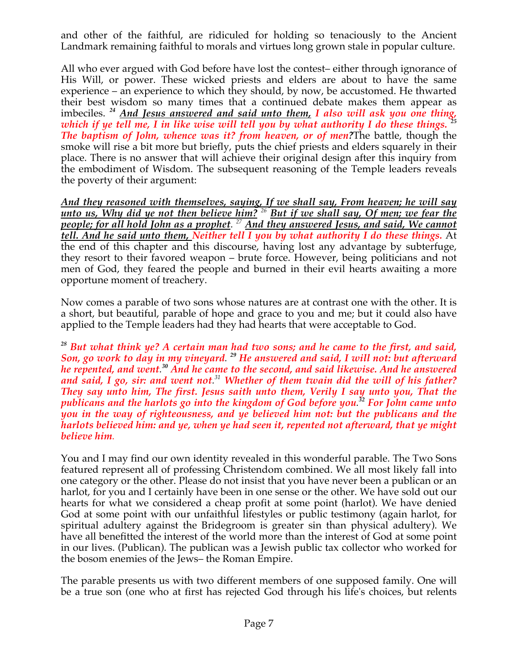and other of the faithful, are ridiculed for holding so tenaciously to the Ancient Landmark remaining faithful to morals and virtues long grown stale in popular culture.

All who ever argued with God before have lost the contest– either through ignorance of His Will, or power. These wicked priests and elders are about to have the same experience – an experience to which they should, by now, be accustomed. He thwarted their best wisdom so many times that a continued debate makes them appear as inter best which be many three and said unto them, I also will ask you one thing, imbeciles. <sup>24</sup> And Jesus answered and said unto them, I also will ask you one thing, <sup>25</sup> *which if ye tell me, I in like wise will tell you by what authority I do these things. <sup>25</sup> The baptism of John, whence was it? from heaven, or of men?*The battle, though the smoke will rise a bit more but briefly, puts the chief priests and elders squarely in their place. There is no answer that will achieve their original design after this inquiry from the embodiment of Wisdom. The subsequent reasoning of the Temple leaders reveals the poverty of their argument:

*And they reasoned with themselves, saying, If we shall say, From heaven; he will say unto us, Why did ye not then believe him? <sup>26</sup> But if we shall say, Of men; we fear the people; for all hold John as a prophet. <sup>27</sup> And they answered Jesus, and said, We cannot tell. And he said unto them, Neither tell I you by what authority I do these things.* At the end of this chapter and this discourse, having lost any advantage by subterfuge, they resort to their favored weapon – brute force. However, being politicians and not men of God, they feared the people and burned in their evil hearts awaiting a more opportune moment of treachery.

Now comes a parable of two sons whose natures are at contrast one with the other. It is a short, but beautiful, parable of hope and grace to you and me; but it could also have applied to the Temple leaders had they had hearts that were acceptable to God.

*<sup>28</sup> But what think ye? A certain man had two sons; and he came to the first, and said, Son, go work to day in my vineyard. <sup>29</sup> He answered and said, I will not: but afterward he repented, and went. <sup>30</sup> And he came to the second, and said likewise. And he answered and said, I go, sir: and went not. <sup>31</sup> Whether of them twain did the will of his father? They say unto him, The first. Jesus saith unto them, Verily I say unto you, That the publicans and the harlots go into the kingdom of God before you. <sup>32</sup> For John came unto you in the way of righteousness, and ye believed him not: but the publicans and the harlots believed him: and ye, when ye had seen it, repented not afterward, that ye might believe him.*

You and I may find our own identity revealed in this wonderful parable. The Two Sons featured represent all of professing Christendom combined. We all most likely fall into one category or the other. Please do not insist that you have never been a publican or an harlot, for you and I certainly have been in one sense or the other. We have sold out our hearts for what we considered a cheap profit at some point (harlot). We have denied God at some point with our unfaithful lifestyles or public testimony (again harlot, for spiritual adultery against the Bridegroom is greater sin than physical adultery). We have all benefitted the interest of the world more than the interest of God at some point in our lives. (Publican). The publican was a Jewish public tax collector who worked for the bosom enemies of the Jews– the Roman Empire.

The parable presents us with two different members of one supposed family. One will be a true son (one who at first has rejected God through his life's choices, but relents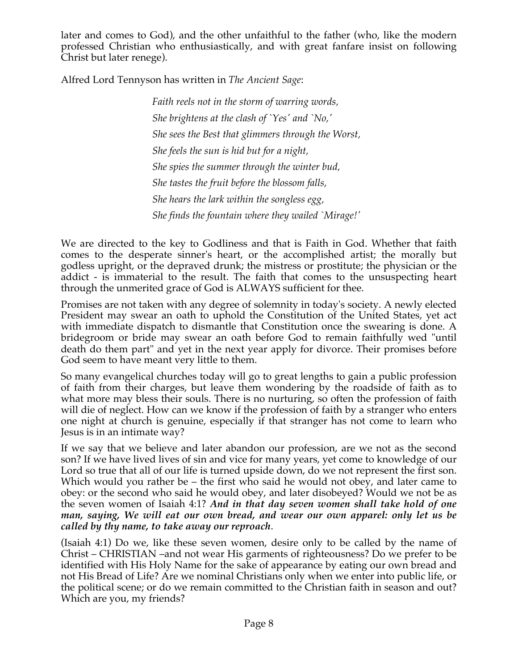later and comes to God), and the other unfaithful to the father (who, like the modern professed Christian who enthusiastically, and with great fanfare insist on following Christ but later renege).

Alfred Lord Tennyson has written in *The Ancient Sage*:

*Faith reels not in the storm of warring words, She brightens at the clash of `Yes' and `No,' She sees the Best that glimmers through the Worst, She feels the sun is hid but for a night, She spies the summer through the winter bud, She tastes the fruit before the blossom falls, She hears the lark within the songless egg, She finds the fountain where they wailed `Mirage!'*

We are directed to the key to Godliness and that is Faith in God. Whether that faith comes to the desperate sinner's heart, or the accomplished artist; the morally but godless upright, or the depraved drunk; the mistress or prostitute; the physician or the addict - is immaterial to the result. The faith that comes to the unsuspecting heart through the unmerited grace of God is ALWAYS sufficient for thee.

Promises are not taken with any degree of solemnity in today's society. A newly elected President may swear an oath to uphold the Constitution of the United States, yet act with immediate dispatch to dismantle that Constitution once the swearing is done. A bridegroom or bride may swear an oath before God to remain faithfully wed "until death do them part" and yet in the next year apply for divorce. Their promises before God seem to have meant very little to them.

So many evangelical churches today will go to great lengths to gain a public profession of faith from their charges, but leave them wondering by the roadside of faith as to what more may bless their souls. There is no nurturing, so often the profession of faith will die of neglect. How can we know if the profession of faith by a stranger who enters one night at church is genuine, especially if that stranger has not come to learn who Jesus is in an intimate way?

If we say that we believe and later abandon our profession, are we not as the second son? If we have lived lives of sin and vice for many years, yet come to knowledge of our Lord so true that all of our life is turned upside down, do we not represent the first son. Which would you rather be – the first who said he would not obey, and later came to obey: or the second who said he would obey, and later disobeyed? Would we not be as the seven women of Isaiah 4:1? *And in that day seven women shall take hold of one man, saying, We will eat our own bread, and wear our own apparel: only let us be called by thy name, to take away our reproach*.

(Isaiah 4:1) Do we, like these seven women, desire only to be called by the name of Christ – CHRISTIAN –and not wear His garments of righteousness? Do we prefer to be identified with His Holy Name for the sake of appearance by eating our own bread and not His Bread of Life? Are we nominal Christians only when we enter into public life, or the political scene; or do we remain committed to the Christian faith in season and out? Which are you, my friends?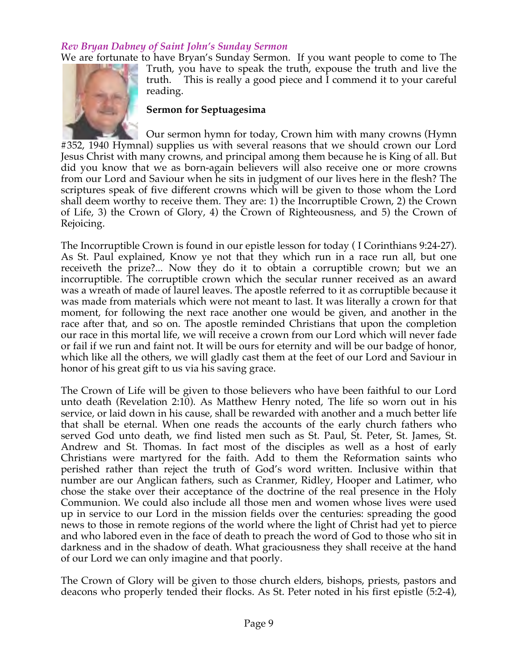#### *Rev Bryan Dabney of Saint John's Sunday Sermon*

We are fortunate to have Bryan's Sunday Sermon. If you want people to come to The



Truth, you have to speak the truth, expouse the truth and live the truth. This is really a good piece and I commend it to your careful reading.

#### **Sermon for Septuagesima**

Our sermon hymn for today, Crown him with many crowns (Hymn #352, 1940 Hymnal) supplies us with several reasons that we should crown our Lord Jesus Christ with many crowns, and principal among them because he is King of all. But did you know that we as born-again believers will also receive one or more crowns from our Lord and Saviour when he sits in judgment of our lives here in the flesh? The scriptures speak of five different crowns which will be given to those whom the Lord shall deem worthy to receive them. They are: 1) the Incorruptible Crown, 2) the Crown of Life, 3) the Crown of Glory, 4) the Crown of Righteousness, and 5) the Crown of Rejoicing.

The Incorruptible Crown is found in our epistle lesson for today ( I Corinthians 9:24-27). As St. Paul explained, Know ye not that they which run in a race run all, but one receiveth the prize?... Now they do it to obtain a corruptible crown; but we an incorruptible. The corruptible crown which the secular runner received as an award was a wreath of made of laurel leaves. The apostle referred to it as corruptible because it was made from materials which were not meant to last. It was literally a crown for that moment, for following the next race another one would be given, and another in the race after that, and so on. The apostle reminded Christians that upon the completion our race in this mortal life, we will receive a crown from our Lord which will never fade or fail if we run and faint not. It will be ours for eternity and will be our badge of honor, which like all the others, we will gladly cast them at the feet of our Lord and Saviour in honor of his great gift to us via his saving grace.

The Crown of Life will be given to those believers who have been faithful to our Lord unto death (Revelation 2:10). As Matthew Henry noted, The life so worn out in his service, or laid down in his cause, shall be rewarded with another and a much better life that shall be eternal. When one reads the accounts of the early church fathers who served God unto death, we find listed men such as St. Paul, St. Peter, St. James, St. Andrew and St. Thomas. In fact most of the disciples as well as a host of early Christians were martyred for the faith. Add to them the Reformation saints who perished rather than reject the truth of God's word written. Inclusive within that number are our Anglican fathers, such as Cranmer, Ridley, Hooper and Latimer, who chose the stake over their acceptance of the doctrine of the real presence in the Holy Communion. We could also include all those men and women whose lives were used up in service to our Lord in the mission fields over the centuries: spreading the good news to those in remote regions of the world where the light of Christ had yet to pierce and who labored even in the face of death to preach the word of God to those who sit in darkness and in the shadow of death. What graciousness they shall receive at the hand of our Lord we can only imagine and that poorly.

The Crown of Glory will be given to those church elders, bishops, priests, pastors and deacons who properly tended their flocks. As St. Peter noted in his first epistle (5:2-4),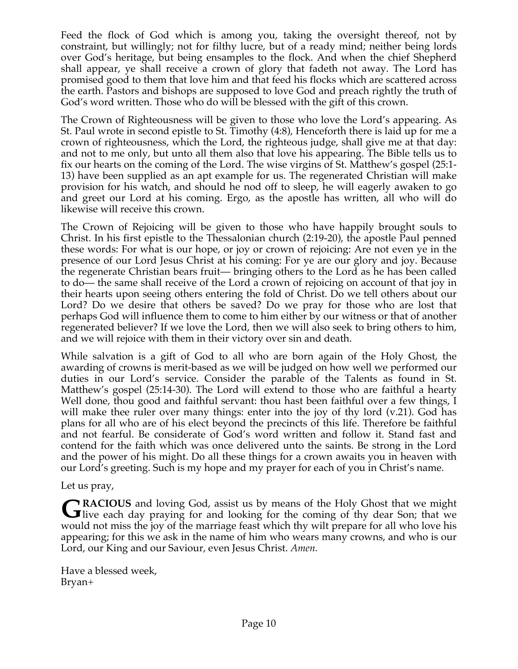Feed the flock of God which is among you, taking the oversight thereof, not by constraint, but willingly; not for filthy lucre, but of a ready mind; neither being lords over God's heritage, but being ensamples to the flock. And when the chief Shepherd shall appear, ye shall receive a crown of glory that fadeth not away. The Lord has promised good to them that love him and that feed his flocks which are scattered across the earth. Pastors and bishops are supposed to love God and preach rightly the truth of God's word written. Those who do will be blessed with the gift of this crown.

The Crown of Righteousness will be given to those who love the Lord's appearing. As St. Paul wrote in second epistle to St. Timothy (4:8), Henceforth there is laid up for me a crown of righteousness, which the Lord, the righteous judge, shall give me at that day: and not to me only, but unto all them also that love his appearing. The Bible tells us to fix our hearts on the coming of the Lord. The wise virgins of St. Matthew's gospel (25:1- 13) have been supplied as an apt example for us. The regenerated Christian will make provision for his watch, and should he nod off to sleep, he will eagerly awaken to go and greet our Lord at his coming. Ergo, as the apostle has written, all who will do likewise will receive this crown.

The Crown of Rejoicing will be given to those who have happily brought souls to Christ. In his first epistle to the Thessalonian church (2:19-20), the apostle Paul penned these words: For what is our hope, or joy or crown of rejoicing: Are not even ye in the presence of our Lord Jesus Christ at his coming: For ye are our glory and joy. Because the regenerate Christian bears fruit— bringing others to the Lord as he has been called to do— the same shall receive of the Lord a crown of rejoicing on account of that joy in their hearts upon seeing others entering the fold of Christ. Do we tell others about our Lord? Do we desire that others be saved? Do we pray for those who are lost that perhaps God will influence them to come to him either by our witness or that of another regenerated believer? If we love the Lord, then we will also seek to bring others to him, and we will rejoice with them in their victory over sin and death.

While salvation is a gift of God to all who are born again of the Holy Ghost, the awarding of crowns is merit-based as we will be judged on how well we performed our duties in our Lord's service. Consider the parable of the Talents as found in St. Matthew's gospel (25:14-30). The Lord will extend to those who are faithful a hearty Well done, thou good and faithful servant: thou hast been faithful over a few things, I will make thee ruler over many things: enter into the joy of thy lord (v.21). God has plans for all who are of his elect beyond the precincts of this life. Therefore be faithful and not fearful. Be considerate of God's word written and follow it. Stand fast and contend for the faith which was once delivered unto the saints. Be strong in the Lord and the power of his might. Do all these things for a crown awaits you in heaven with our Lord's greeting. Such is my hope and my prayer for each of you in Christ's name.

Let us pray,

**RACIOUS** and loving God, assist us by means of the Holy Ghost that we might GRACIOUS and loving God, assist us by means of the Holy Ghost that we might live each day praying for and looking for the coming of thy dear Son; that we would not miss the joy of the marriage feast which thy wilt prepare for all who love his appearing; for this we ask in the name of him who wears many crowns, and who is our Lord, our King and our Saviour, even Jesus Christ. *Amen.* 

Have a blessed week, Bryan+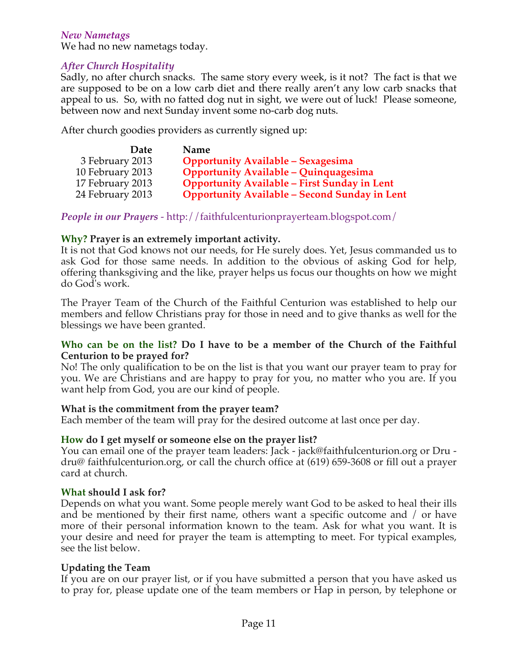#### *New Nametags*

We had no new nametags today.

#### *After Church Hospitality*

Sadly, no after church snacks. The same story every week, is it not? The fact is that we are supposed to be on a low carb diet and there really aren't any low carb snacks that appeal to us. So, with no fatted dog nut in sight, we were out of luck! Please someone, between now and next Sunday invent some no-carb dog nuts.

After church goodies providers as currently signed up:

| <b>Date</b>      | Name                                                 |
|------------------|------------------------------------------------------|
| 3 February 2013  | <b>Opportunity Available - Sexagesima</b>            |
| 10 February 2013 | <b>Opportunity Available - Quinquagesima</b>         |
| 17 February 2013 | <b>Opportunity Available - First Sunday in Lent</b>  |
| 24 February 2013 | <b>Opportunity Available - Second Sunday in Lent</b> |

*People in our Prayers* - http://faithfulcenturionprayerteam.blogspot.com/

#### **Why? Prayer is an extremely important activity.**

It is not that God knows not our needs, for He surely does. Yet, Jesus commanded us to ask God for those same needs. In addition to the obvious of asking God for help, offering thanksgiving and the like, prayer helps us focus our thoughts on how we might do God's work.

The Prayer Team of the Church of the Faithful Centurion was established to help our members and fellow Christians pray for those in need and to give thanks as well for the blessings we have been granted.

#### **Who can be on the list? Do I have to be a member of the Church of the Faithful Centurion to be prayed for?**

No! The only qualification to be on the list is that you want our prayer team to pray for you. We are Christians and are happy to pray for you, no matter who you are. If you want help from God, you are our kind of people.

#### **What is the commitment from the prayer team?**

Each member of the team will pray for the desired outcome at last once per day.

#### **How do I get myself or someone else on the prayer list?**

You can email one of the prayer team leaders: Jack - jack@faithfulcenturion.org or Dru dru@ faithfulcenturion.org, or call the church office at (619) 659-3608 or fill out a prayer card at church.

#### **What should I ask for?**

Depends on what you want. Some people merely want God to be asked to heal their ills and be mentioned by their first name, others want a specific outcome and / or have more of their personal information known to the team. Ask for what you want. It is your desire and need for prayer the team is attempting to meet. For typical examples, see the list below.

#### **Updating the Team**

If you are on our prayer list, or if you have submitted a person that you have asked us to pray for, please update one of the team members or Hap in person, by telephone or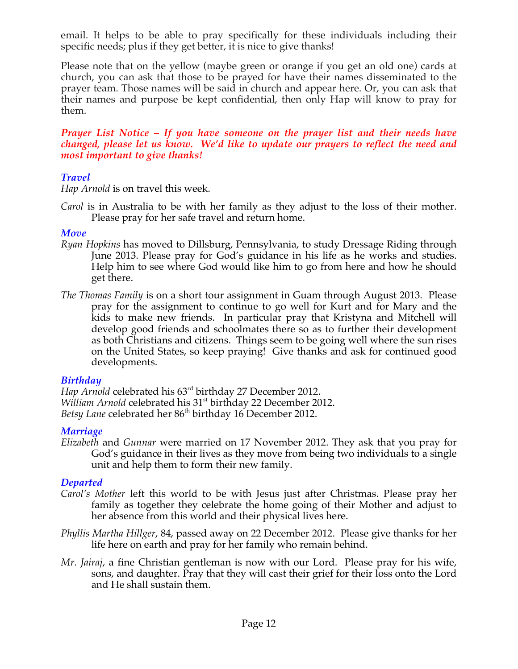email. It helps to be able to pray specifically for these individuals including their specific needs; plus if they get better, it is nice to give thanks!

Please note that on the yellow (maybe green or orange if you get an old one) cards at church, you can ask that those to be prayed for have their names disseminated to the prayer team. Those names will be said in church and appear here. Or, you can ask that their names and purpose be kept confidential, then only Hap will know to pray for them.

*Prayer List Notice – If you have someone on the prayer list and their needs have changed, please let us know. We'd like to update our prayers to reflect the need and most important to give thanks!*

#### *Travel*

*Hap Arnold* is on travel this week.

*Carol* is in Australia to be with her family as they adjust to the loss of their mother. Please pray for her safe travel and return home.

#### *Move*

- *Ryan Hopkins* has moved to Dillsburg, Pennsylvania, to study Dressage Riding through June 2013. Please pray for God's guidance in his life as he works and studies. Help him to see where God would like him to go from here and how he should get there.
- *The Thomas Family* is on a short tour assignment in Guam through August 2013. Please pray for the assignment to continue to go well for Kurt and for Mary and the kids to make new friends. In particular pray that Kristyna and Mitchell will develop good friends and schoolmates there so as to further their development as both Christians and citizens. Things seem to be going well where the sun rises on the United States, so keep praying! Give thanks and ask for continued good developments.

#### *Birthday*

*Hap Arnold* celebrated his 63rd birthday 27 December 2012. *William Arnold* celebrated his 31<sup>st</sup> birthday 22 December 2012. Betsy Lane celebrated her 86<sup>th</sup> birthday 16 December 2012.

#### *Marriage*

*Elizabeth* and *Gunnar* were married on 17 November 2012. They ask that you pray for God's guidance in their lives as they move from being two individuals to a single unit and help them to form their new family.

#### *Departed*

- *Carol's Mother* left this world to be with Jesus just after Christmas. Please pray her family as together they celebrate the home going of their Mother and adjust to her absence from this world and their physical lives here.
- *Phyllis Martha Hillger*, 84, passed away on 22 December 2012. Please give thanks for her life here on earth and pray for her family who remain behind.
- *Mr. Jairaj*, a fine Christian gentleman is now with our Lord. Please pray for his wife, sons, and daughter. Pray that they will cast their grief for their loss onto the Lord and He shall sustain them.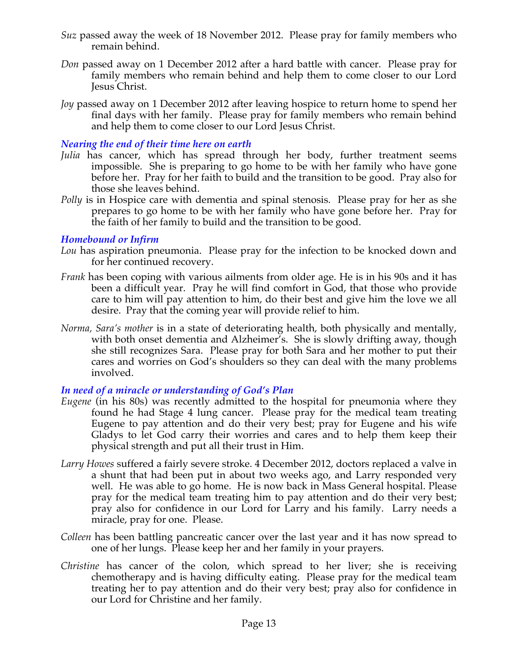- *Suz* passed away the week of 18 November 2012. Please pray for family members who remain behind.
- *Don* passed away on 1 December 2012 after a hard battle with cancer. Please pray for family members who remain behind and help them to come closer to our Lord Jesus Christ.
- *Joy* passed away on 1 December 2012 after leaving hospice to return home to spend her final days with her family. Please pray for family members who remain behind and help them to come closer to our Lord Jesus Christ.

#### *Nearing the end of their time here on earth*

- *Julia* has cancer, which has spread through her body, further treatment seems impossible. She is preparing to go home to be with her family who have gone before her. Pray for her faith to build and the transition to be good. Pray also for those she leaves behind.
- *Polly* is in Hospice care with dementia and spinal stenosis. Please pray for her as she prepares to go home to be with her family who have gone before her. Pray for the faith of her family to build and the transition to be good.

#### *Homebound or Infirm*

- *Lou* has aspiration pneumonia. Please pray for the infection to be knocked down and for her continued recovery.
- *Frank* has been coping with various ailments from older age. He is in his 90s and it has been a difficult year. Pray he will find comfort in God, that those who provide care to him will pay attention to him, do their best and give him the love we all desire. Pray that the coming year will provide relief to him.
- *Norma, Sara's mother* is in a state of deteriorating health, both physically and mentally, with both onset dementia and Alzheimer's. She is slowly drifting away, though she still recognizes Sara. Please pray for both Sara and her mother to put their cares and worries on God's shoulders so they can deal with the many problems involved.

#### *In need of a miracle or understanding of God's Plan*

- *Eugene* (in his 80s) was recently admitted to the hospital for pneumonia where they found he had Stage 4 lung cancer. Please pray for the medical team treating Eugene to pay attention and do their very best; pray for Eugene and his wife Gladys to let God carry their worries and cares and to help them keep their physical strength and put all their trust in Him.
- *Larry Howes* suffered a fairly severe stroke. 4 December 2012, doctors replaced a valve in a shunt that had been put in about two weeks ago, and Larry responded very well. He was able to go home. He is now back in Mass General hospital. Please pray for the medical team treating him to pay attention and do their very best; pray also for confidence in our Lord for Larry and his family. Larry needs a miracle, pray for one. Please.
- *Colleen* has been battling pancreatic cancer over the last year and it has now spread to one of her lungs. Please keep her and her family in your prayers.
- *Christine* has cancer of the colon, which spread to her liver; she is receiving chemotherapy and is having difficulty eating. Please pray for the medical team treating her to pay attention and do their very best; pray also for confidence in our Lord for Christine and her family.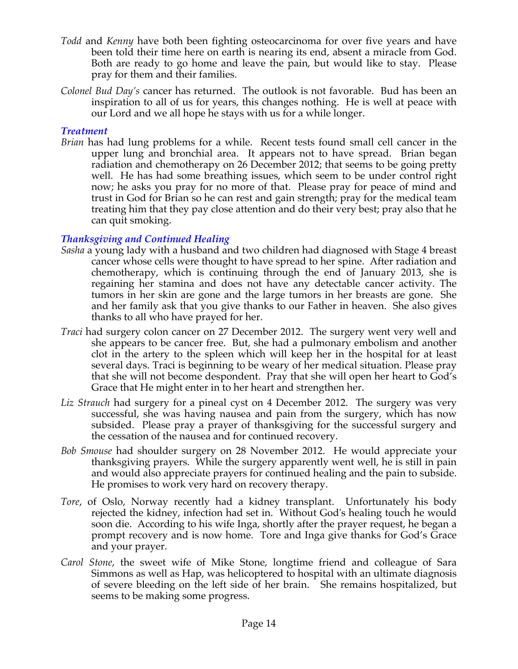- *Todd* and *Kenny* have both been fighting osteocarcinoma for over five years and have been told their time here on earth is nearing its end, absent a miracle from God. Both are ready to go home and leave the pain, but would like to stay. Please pray for them and their families.
- *Colonel Bud Day's* cancer has returned. The outlook is not favorable. Bud has been an inspiration to all of us for years, this changes nothing. He is well at peace with our Lord and we all hope he stays with us for a while longer.

#### *Treatment*

*Brian* has had lung problems for a while. Recent tests found small cell cancer in the upper lung and bronchial area. It appears not to have spread. Brian began radiation and chemotherapy on 26 December 2012; that seems to be going pretty well. He has had some breathing issues, which seem to be under control right now; he asks you pray for no more of that. Please pray for peace of mind and trust in God for Brian so he can rest and gain strength; pray for the medical team treating him that they pay close attention and do their very best; pray also that he can quit smoking.

#### *Thanksgiving and Continued Healing*

- *Sasha* a young lady with a husband and two children had diagnosed with Stage 4 breast cancer whose cells were thought to have spread to her spine. After radiation and chemotherapy, which is continuing through the end of January 2013, she is regaining her stamina and does not have any detectable cancer activity. The tumors in her skin are gone and the large tumors in her breasts are gone. She and her family ask that you give thanks to our Father in heaven. She also gives thanks to all who have prayed for her.
- *Traci* had surgery colon cancer on 27 December 2012. The surgery went very well and she appears to be cancer free. But, she had a pulmonary embolism and another clot in the artery to the spleen which will keep her in the hospital for at least several days. Traci is beginning to be weary of her medical situation. Please pray that she will not become despondent. Pray that she will open her heart to God's Grace that He might enter in to her heart and strengthen her.
- *Liz Strauch* had surgery for a pineal cyst on 4 December 2012. The surgery was very successful, she was having nausea and pain from the surgery, which has now subsided. Please pray a prayer of thanksgiving for the successful surgery and the cessation of the nausea and for continued recovery.
- *Bob Smouse* had shoulder surgery on 28 November 2012. He would appreciate your thanksgiving prayers. While the surgery apparently went well, he is still in pain and would also appreciate prayers for continued healing and the pain to subside. He promises to work very hard on recovery therapy.
- *Tore*, of Oslo, Norway recently had a kidney transplant. Unfortunately his body rejected the kidney, infection had set in. Without God's healing touch he would soon die. According to his wife Inga, shortly after the prayer request, he began a prompt recovery and is now home. Tore and Inga give thanks for God's Grace and your prayer.
- *Carol Stone*, the sweet wife of Mike Stone, longtime friend and colleague of Sara Simmons as well as Hap, was helicoptered to hospital with an ultimate diagnosis of severe bleeding on the left side of her brain. She remains hospitalized, but seems to be making some progress.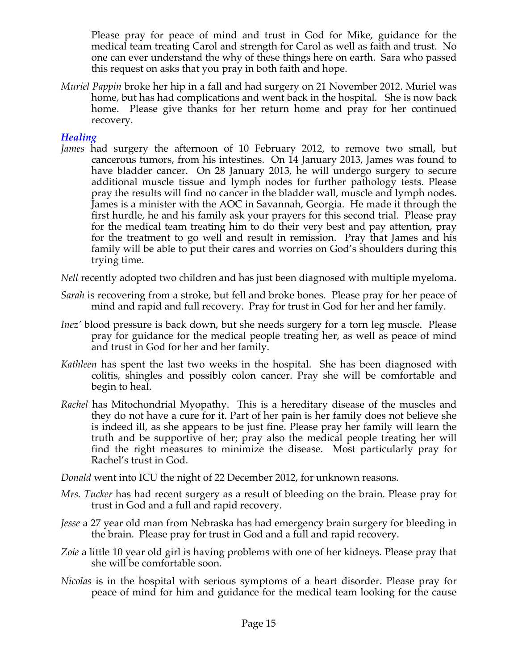Please pray for peace of mind and trust in God for Mike, guidance for the medical team treating Carol and strength for Carol as well as faith and trust. No one can ever understand the why of these things here on earth. Sara who passed this request on asks that you pray in both faith and hope.

*Muriel Pappin* broke her hip in a fall and had surgery on 21 November 2012. Muriel was home, but has had complications and went back in the hospital. She is now back home. Please give thanks for her return home and pray for her continued recovery.

#### *Healing*

*James* had surgery the afternoon of 10 February 2012, to remove two small, but cancerous tumors, from his intestines. On 14 January 2013, James was found to have bladder cancer. On 28 January 2013, he will undergo surgery to secure additional muscle tissue and lymph nodes for further pathology tests. Please pray the results will find no cancer in the bladder wall, muscle and lymph nodes. James is a minister with the AOC in Savannah, Georgia. He made it through the first hurdle, he and his family ask your prayers for this second trial. Please pray for the medical team treating him to do their very best and pay attention, pray for the treatment to go well and result in remission. Pray that James and his family will be able to put their cares and worries on God's shoulders during this trying time.

*Nell* recently adopted two children and has just been diagnosed with multiple myeloma.

- *Sarah* is recovering from a stroke, but fell and broke bones. Please pray for her peace of mind and rapid and full recovery. Pray for trust in God for her and her family.
- *Inez'* blood pressure is back down, but she needs surgery for a torn leg muscle. Please pray for guidance for the medical people treating her, as well as peace of mind and trust in God for her and her family.
- *Kathleen* has spent the last two weeks in the hospital. She has been diagnosed with colitis, shingles and possibly colon cancer. Pray she will be comfortable and begin to heal.
- *Rachel* has Mitochondrial Myopathy. This is a hereditary disease of the muscles and they do not have a cure for it. Part of her pain is her family does not believe she is indeed ill, as she appears to be just fine. Please pray her family will learn the truth and be supportive of her; pray also the medical people treating her will find the right measures to minimize the disease. Most particularly pray for Rachel's trust in God.

*Donald* went into ICU the night of 22 December 2012, for unknown reasons.

- *Mrs. Tucker* has had recent surgery as a result of bleeding on the brain. Please pray for trust in God and a full and rapid recovery.
- *Jesse* a 27 year old man from Nebraska has had emergency brain surgery for bleeding in the brain. Please pray for trust in God and a full and rapid recovery.
- *Zoie* a little 10 year old girl is having problems with one of her kidneys. Please pray that she will be comfortable soon.
- *Nicolas* is in the hospital with serious symptoms of a heart disorder. Please pray for peace of mind for him and guidance for the medical team looking for the cause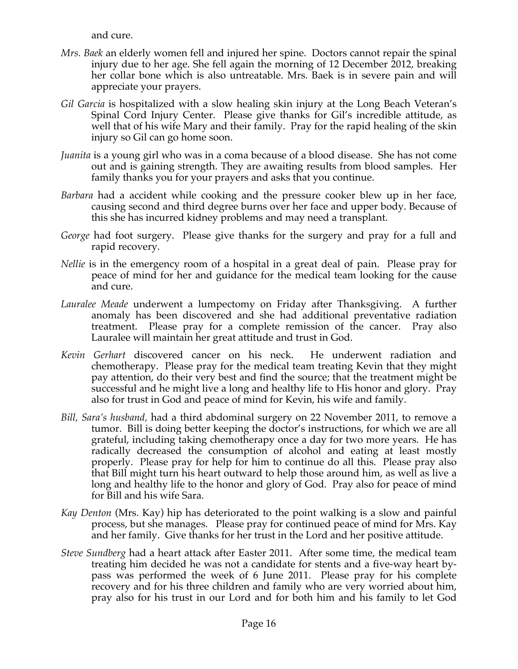and cure.

- *Mrs. Baek* an elderly women fell and injured her spine. Doctors cannot repair the spinal injury due to her age. She fell again the morning of 12 December 2012, breaking her collar bone which is also untreatable. Mrs. Baek is in severe pain and will appreciate your prayers.
- *Gil Garcia* is hospitalized with a slow healing skin injury at the Long Beach Veteran's Spinal Cord Injury Center. Please give thanks for Gil's incredible attitude, as well that of his wife Mary and their family. Pray for the rapid healing of the skin injury so Gil can go home soon.
- *Juanita* is a young girl who was in a coma because of a blood disease. She has not come out and is gaining strength. They are awaiting results from blood samples. Her family thanks you for your prayers and asks that you continue.
- *Barbara* had a accident while cooking and the pressure cooker blew up in her face, causing second and third degree burns over her face and upper body. Because of this she has incurred kidney problems and may need a transplant.
- *George* had foot surgery. Please give thanks for the surgery and pray for a full and rapid recovery.
- *Nellie* is in the emergency room of a hospital in a great deal of pain. Please pray for peace of mind for her and guidance for the medical team looking for the cause and cure.
- *Lauralee Meade* underwent a lumpectomy on Friday after Thanksgiving. A further anomaly has been discovered and she had additional preventative radiation treatment. Please pray for a complete remission of the cancer. Pray also Lauralee will maintain her great attitude and trust in God.
- *Kevin Gerhart* discovered cancer on his neck. He underwent radiation and chemotherapy. Please pray for the medical team treating Kevin that they might pay attention, do their very best and find the source; that the treatment might be successful and he might live a long and healthy life to His honor and glory. Pray also for trust in God and peace of mind for Kevin, his wife and family.
- *Bill, Sara's husband,* had a third abdominal surgery on 22 November 2011, to remove a tumor. Bill is doing better keeping the doctor's instructions, for which we are all grateful, including taking chemotherapy once a day for two more years. He has radically decreased the consumption of alcohol and eating at least mostly properly. Please pray for help for him to continue do all this. Please pray also that Bill might turn his heart outward to help those around him, as well as live a long and healthy life to the honor and glory of God. Pray also for peace of mind for Bill and his wife Sara.
- *Kay Denton* (Mrs. Kay) hip has deteriorated to the point walking is a slow and painful process, but she manages. Please pray for continued peace of mind for Mrs. Kay and her family. Give thanks for her trust in the Lord and her positive attitude.
- *Steve Sundberg* had a heart attack after Easter 2011. After some time, the medical team treating him decided he was not a candidate for stents and a five-way heart bypass was performed the week of 6 June 2011. Please pray for his complete recovery and for his three children and family who are very worried about him, pray also for his trust in our Lord and for both him and his family to let God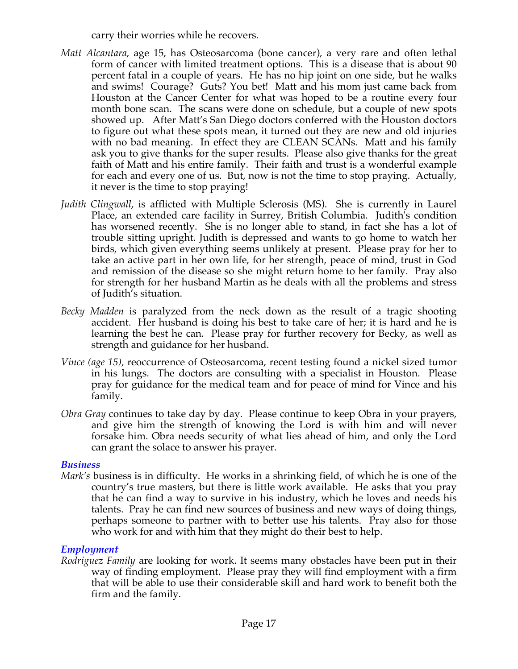carry their worries while he recovers.

- *Matt Alcantara*, age 15, has Osteosarcoma (bone cancer), a very rare and often lethal form of cancer with limited treatment options. This is a disease that is about 90 percent fatal in a couple of years. He has no hip joint on one side, but he walks and swims! Courage? Guts? You bet! Matt and his mom just came back from Houston at the Cancer Center for what was hoped to be a routine every four month bone scan. The scans were done on schedule, but a couple of new spots showed up. After Matt's San Diego doctors conferred with the Houston doctors to figure out what these spots mean, it turned out they are new and old injuries with no bad meaning. In effect they are CLEAN SCANs. Matt and his family ask you to give thanks for the super results. Please also give thanks for the great faith of Matt and his entire family. Their faith and trust is a wonderful example for each and every one of us. But, now is not the time to stop praying. Actually, it never is the time to stop praying!
- *Judith Clingwall*, is afflicted with Multiple Sclerosis (MS). She is currently in Laurel Place, an extended care facility in Surrey, British Columbia. Judith's condition has worsened recently. She is no longer able to stand, in fact she has a lot of trouble sitting upright. Judith is depressed and wants to go home to watch her birds, which given everything seems unlikely at present. Please pray for her to take an active part in her own life, for her strength, peace of mind, trust in God and remission of the disease so she might return home to her family. Pray also for strength for her husband Martin as he deals with all the problems and stress of Judith's situation.
- *Becky Madden* is paralyzed from the neck down as the result of a tragic shooting accident. Her husband is doing his best to take care of her; it is hard and he is learning the best he can. Please pray for further recovery for Becky, as well as strength and guidance for her husband.
- *Vince (age 15),* reoccurrence of Osteosarcoma, recent testing found a nickel sized tumor in his lungs. The doctors are consulting with a specialist in Houston. Please pray for guidance for the medical team and for peace of mind for Vince and his family.
- *Obra Gray* continues to take day by day. Please continue to keep Obra in your prayers, and give him the strength of knowing the Lord is with him and will never forsake him. Obra needs security of what lies ahead of him, and only the Lord can grant the solace to answer his prayer.

#### *Business*

*Mark's* business is in difficulty. He works in a shrinking field, of which he is one of the country's true masters, but there is little work available. He asks that you pray that he can find a way to survive in his industry, which he loves and needs his talents. Pray he can find new sources of business and new ways of doing things, perhaps someone to partner with to better use his talents. Pray also for those who work for and with him that they might do their best to help.

#### *Employment*

*Rodriguez Family* are looking for work. It seems many obstacles have been put in their way of finding employment. Please pray they will find employment with a firm that will be able to use their considerable skill and hard work to benefit both the firm and the family.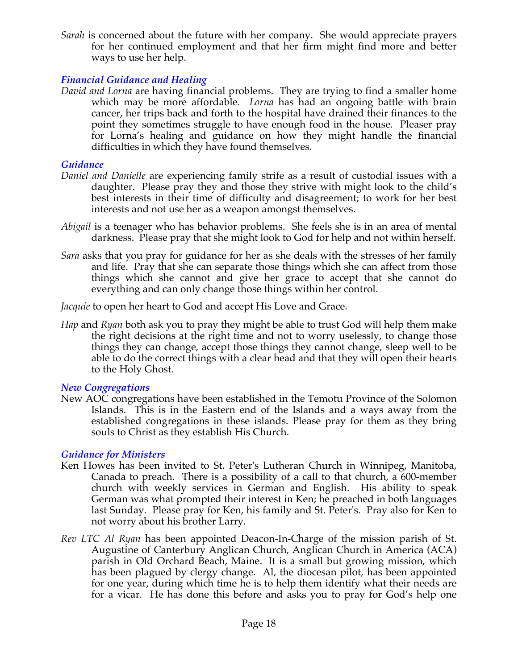*Sarah* is concerned about the future with her company. She would appreciate prayers for her continued employment and that her firm might find more and better ways to use her help.

#### *Financial Guidance and Healing*

*David and Lorna* are having financial problems. They are trying to find a smaller home which may be more affordable. *Lorna* has had an ongoing battle with brain cancer, her trips back and forth to the hospital have drained their finances to the point they sometimes struggle to have enough food in the house. Pleaser pray for Lorna's healing and guidance on how they might handle the financial difficulties in which they have found themselves.

#### *Guidance*

- *Daniel and Danielle* are experiencing family strife as a result of custodial issues with a daughter. Please pray they and those they strive with might look to the child's best interests in their time of difficulty and disagreement; to work for her best interests and not use her as a weapon amongst themselves.
- *Abigail* is a teenager who has behavior problems. She feels she is in an area of mental darkness. Please pray that she might look to God for help and not within herself.
- *Sara* asks that you pray for guidance for her as she deals with the stresses of her family and life. Pray that she can separate those things which she can affect from those things which she cannot and give her grace to accept that she cannot do everything and can only change those things within her control.

*Jacquie* to open her heart to God and accept His Love and Grace.

*Hap* and *Ryan* both ask you to pray they might be able to trust God will help them make the right decisions at the right time and not to worry uselessly, to change those things they can change, accept those things they cannot change, sleep well to be able to do the correct things with a clear head and that they will open their hearts to the Holy Ghost.

#### *New Congregations*

New AOC congregations have been established in the Temotu Province of the Solomon Islands. This is in the Eastern end of the Islands and a ways away from the established congregations in these islands. Please pray for them as they bring souls to Christ as they establish His Church.

#### *Guidance for Ministers*

- Ken Howes has been invited to St. Peter's Lutheran Church in Winnipeg, Manitoba, Canada to preach. There is a possibility of a call to that church, a 600-member church with weekly services in German and English. His ability to speak German was what prompted their interest in Ken; he preached in both languages last Sunday. Please pray for Ken, his family and St. Peter's. Pray also for Ken to not worry about his brother Larry.
- *Rev LTC Al Ryan* has been appointed Deacon-In-Charge of the mission parish of St. Augustine of Canterbury Anglican Church, Anglican Church in America (ACA) parish in Old Orchard Beach, Maine. It is a small but growing mission, which has been plagued by clergy change. Al, the diocesan pilot, has been appointed for one year, during which time he is to help them identify what their needs are for a vicar. He has done this before and asks you to pray for God's help one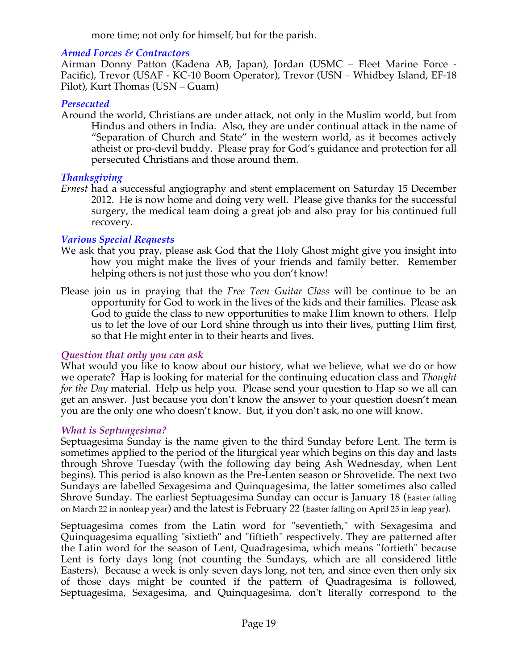more time; not only for himself, but for the parish.

#### *Armed Forces & Contractors*

Airman Donny Patton (Kadena AB, Japan), Jordan (USMC – Fleet Marine Force - Pacific), Trevor (USAF - KC-10 Boom Operator), Trevor (USN – Whidbey Island, EF-18 Pilot), Kurt Thomas (USN – Guam)

#### *Persecuted*

Around the world, Christians are under attack, not only in the Muslim world, but from Hindus and others in India. Also, they are under continual attack in the name of "Separation of Church and State" in the western world, as it becomes actively atheist or pro-devil buddy. Please pray for God's guidance and protection for all persecuted Christians and those around them.

#### *Thanksgiving*

*Ernest* had a successful angiography and stent emplacement on Saturday 15 December 2012. He is now home and doing very well. Please give thanks for the successful surgery, the medical team doing a great job and also pray for his continued full recovery.

#### *Various Special Requests*

- We ask that you pray, please ask God that the Holy Ghost might give you insight into how you might make the lives of your friends and family better. Remember helping others is not just those who you don't know!
- Please join us in praying that the *Free Teen Guitar Class* will be continue to be an opportunity for God to work in the lives of the kids and their families. Please ask God to guide the class to new opportunities to make Him known to others. Help us to let the love of our Lord shine through us into their lives, putting Him first, so that He might enter in to their hearts and lives.

#### *Question that only you can ask*

What would you like to know about our history, what we believe, what we do or how we operate? Hap is looking for material for the continuing education class and *Thought for the Day* material. Help us help you. Please send your question to Hap so we all can get an answer. Just because you don't know the answer to your question doesn't mean you are the only one who doesn't know. But, if you don't ask, no one will know.

#### *What is Septuagesima?*

Septuagesima Sunday is the name given to the third Sunday before Lent. The term is sometimes applied to the period of the liturgical year which begins on this day and lasts through Shrove Tuesday (with the following day being Ash Wednesday, when Lent begins). This period is also known as the Pre-Lenten season or Shrovetide. The next two Sundays are labelled Sexagesima and Quinquagesima, the latter sometimes also called Shrove Sunday. The earliest Septuagesima Sunday can occur is January 18 (Easter falling on March 22 in nonleap year) and the latest is February 22 (Easter falling on April 25 in leap year).

Septuagesima comes from the Latin word for "seventieth," with Sexagesima and Quinquagesima equalling "sixtieth" and "fiftieth" respectively. They are patterned after the Latin word for the season of Lent, Quadragesima, which means "fortieth" because Lent is forty days long (not counting the Sundays, which are all considered little Easters). Because a week is only seven days long, not ten, and since even then only six of those days might be counted if the pattern of Quadragesima is followed, Septuagesima, Sexagesima, and Quinquagesima, don't literally correspond to the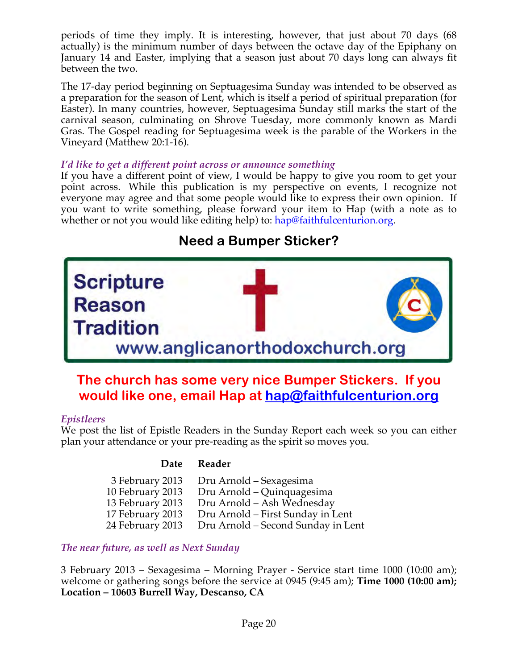periods of time they imply. It is interesting, however, that just about 70 days (68 actually) is the minimum number of days between the octave day of the Epiphany on January 14 and Easter, implying that a season just about 70 days long can always fit between the two.

The 17-day period beginning on Septuagesima Sunday was intended to be observed as a preparation for the season of Lent, which is itself a period of spiritual preparation (for Easter). In many countries, however, Septuagesima Sunday still marks the start of the carnival season, culminating on Shrove Tuesday, more commonly known as Mardi Gras. The Gospel reading for Septuagesima week is the parable of the Workers in the Vineyard (Matthew 20:1-16).

#### *I'd like to get a different point across or announce something*

If you have a different point of view, I would be happy to give you room to get your point across. While this publication is my perspective on events, I recognize not everyone may agree and that some people would like to express their own opinion. If you want to write something, please forward your item to Hap (with a note as to whether or not you would like editing help) to: hap@faithfulcenturion.org.

# **Need a Bumper Sticker? Scripture**

# www.anglicanorthodoxchurch.org

## **The church has some very nice Bumper Stickers. If you would like one, email Hap at hap@faithfulcenturion.org**

#### *Epistleers*

Reason

**radition** 

We post the list of Epistle Readers in the Sunday Report each week so you can either plan your attendance or your pre-reading as the spirit so moves you.

#### **Date Reader**

| 3 February 2013  | Dru Arnold – Sexagesima            |
|------------------|------------------------------------|
| 10 February 2013 | Dru Arnold – Quinquagesima         |
| 13 February 2013 | Dru Arnold - Ash Wednesday         |
| 17 February 2013 | Dru Arnold – First Sunday in Lent  |
| 24 February 2013 | Dru Arnold – Second Sunday in Lent |

#### *The near future, as well as Next Sunday*

3 February 2013 – Sexagesima – Morning Prayer - Service start time 1000 (10:00 am); welcome or gathering songs before the service at 0945 (9:45 am); **Time 1000 (10:00 am); Location – 10603 Burrell Way, Descanso, CA**